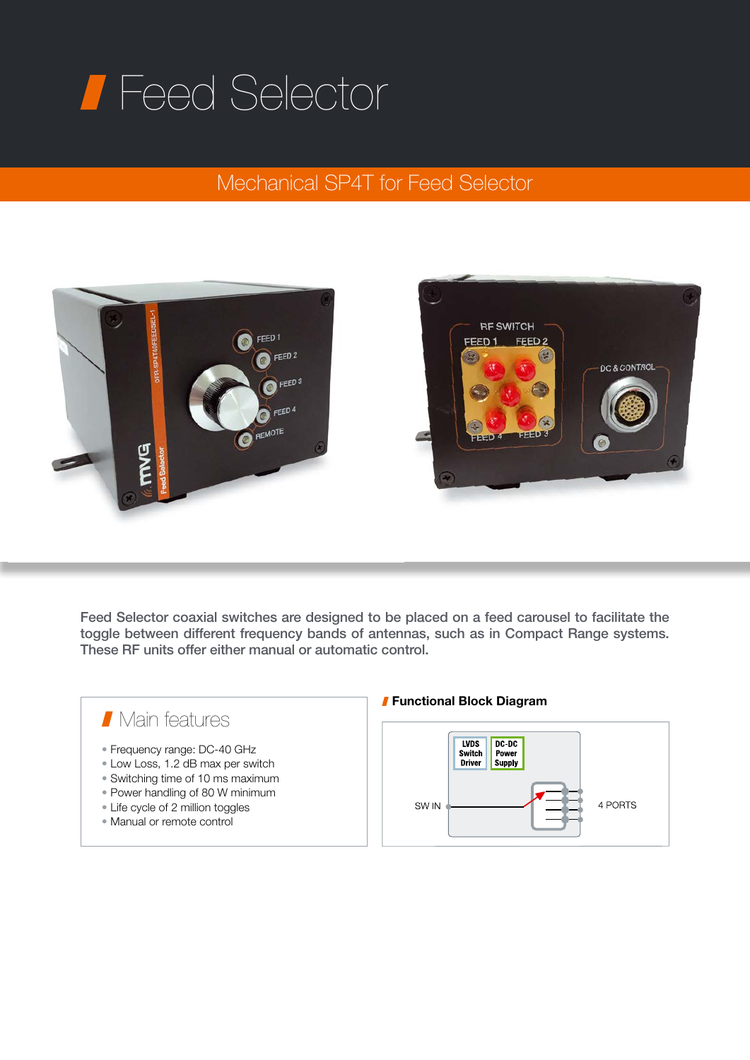## Feed Selector

## Mechanical SP4T for Feed Selector



Feed Selector coaxial switches are designed to be placed on a feed carousel to facilitate the toggle between different frequency bands of antennas, such as in Compact Range systems. These RF units offer either manual or automatic control.